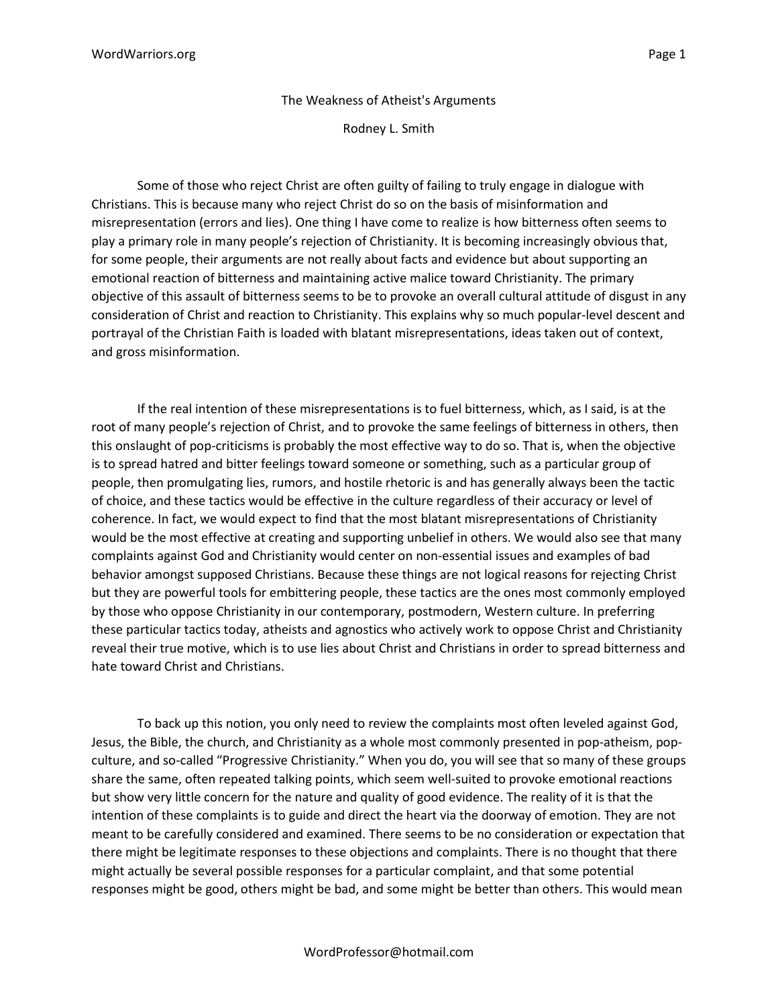## The Weakness of Atheist's Arguments

Rodney L. Smith

Some of those who reject Christ are often guilty of failing to truly engage in dialogue with Christians. This is because many who reject Christ do so on the basis of misinformation and misrepresentation (errors and lies). One thing I have come to realize is how bitterness often seems to play a primary role in many people's rejection of Christianity. It is becoming increasingly obvious that, for some people, their arguments are not really about facts and evidence but about supporting an emotional reaction of bitterness and maintaining active malice toward Christianity. The primary objective of this assault of bitterness seems to be to provoke an overall cultural attitude of disgust in any consideration of Christ and reaction to Christianity. This explains why so much popular-level descent and portrayal of the Christian Faith is loaded with blatant misrepresentations, ideas taken out of context, and gross misinformation.

If the real intention of these misrepresentations is to fuel bitterness, which, as I said, is at the root of many people's rejection of Christ, and to provoke the same feelings of bitterness in others, then this onslaught of pop-criticisms is probably the most effective way to do so. That is, when the objective is to spread hatred and bitter feelings toward someone or something, such as a particular group of people, then promulgating lies, rumors, and hostile rhetoric is and has generally always been the tactic of choice, and these tactics would be effective in the culture regardless of their accuracy or level of coherence. In fact, we would expect to find that the most blatant misrepresentations of Christianity would be the most effective at creating and supporting unbelief in others. We would also see that many complaints against God and Christianity would center on non-essential issues and examples of bad behavior amongst supposed Christians. Because these things are not logical reasons for rejecting Christ but they are powerful tools for embittering people, these tactics are the ones most commonly employed by those who oppose Christianity in our contemporary, postmodern, Western culture. In preferring these particular tactics today, atheists and agnostics who actively work to oppose Christ and Christianity reveal their true motive, which is to use lies about Christ and Christians in order to spread bitterness and hate toward Christ and Christians.

To back up this notion, you only need to review the complaints most often leveled against God, Jesus, the Bible, the church, and Christianity as a whole most commonly presented in pop-atheism, popculture, and so-called "Progressive Christianity." When you do, you will see that so many of these groups share the same, often repeated talking points, which seem well-suited to provoke emotional reactions but show very little concern for the nature and quality of good evidence. The reality of it is that the intention of these complaints is to guide and direct the heart via the doorway of emotion. They are not meant to be carefully considered and examined. There seems to be no consideration or expectation that there might be legitimate responses to these objections and complaints. There is no thought that there might actually be several possible responses for a particular complaint, and that some potential responses might be good, others might be bad, and some might be better than others. This would mean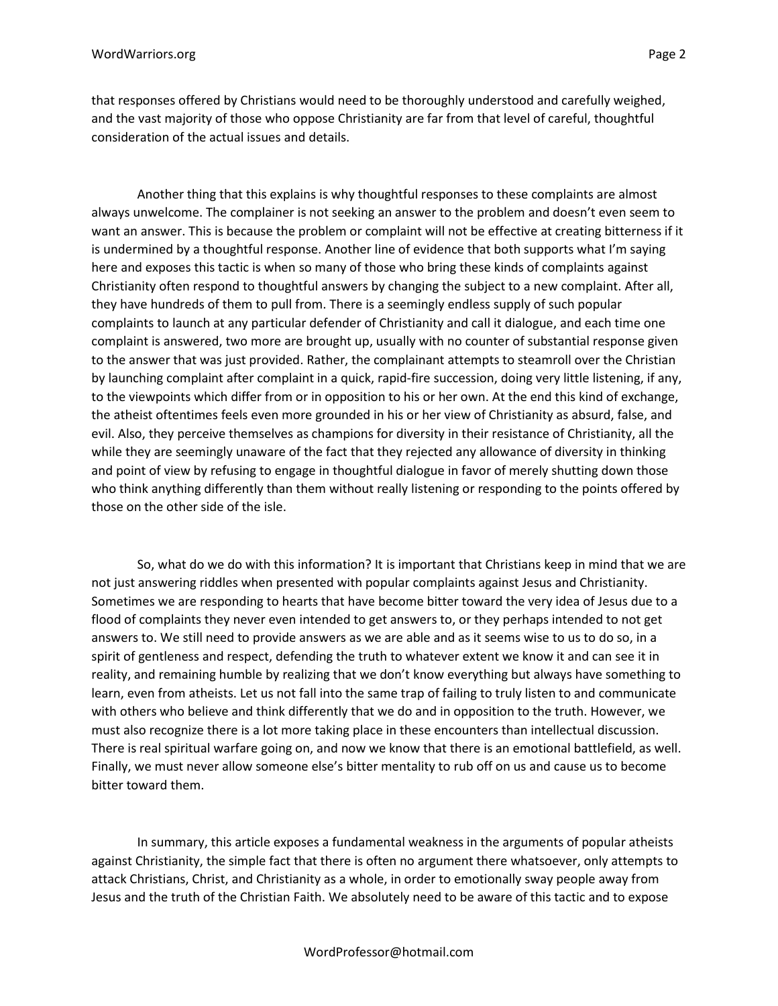that responses offered by Christians would need to be thoroughly understood and carefully weighed, and the vast majority of those who oppose Christianity are far from that level of careful, thoughtful consideration of the actual issues and details.

Another thing that this explains is why thoughtful responses to these complaints are almost always unwelcome. The complainer is not seeking an answer to the problem and doesn't even seem to want an answer. This is because the problem or complaint will not be effective at creating bitterness if it is undermined by a thoughtful response. Another line of evidence that both supports what I'm saying here and exposes this tactic is when so many of those who bring these kinds of complaints against Christianity often respond to thoughtful answers by changing the subject to a new complaint. After all, they have hundreds of them to pull from. There is a seemingly endless supply of such popular complaints to launch at any particular defender of Christianity and call it dialogue, and each time one complaint is answered, two more are brought up, usually with no counter of substantial response given to the answer that was just provided. Rather, the complainant attempts to steamroll over the Christian by launching complaint after complaint in a quick, rapid-fire succession, doing very little listening, if any, to the viewpoints which differ from or in opposition to his or her own. At the end this kind of exchange, the atheist oftentimes feels even more grounded in his or her view of Christianity as absurd, false, and evil. Also, they perceive themselves as champions for diversity in their resistance of Christianity, all the while they are seemingly unaware of the fact that they rejected any allowance of diversity in thinking and point of view by refusing to engage in thoughtful dialogue in favor of merely shutting down those who think anything differently than them without really listening or responding to the points offered by those on the other side of the isle.

So, what do we do with this information? It is important that Christians keep in mind that we are not just answering riddles when presented with popular complaints against Jesus and Christianity. Sometimes we are responding to hearts that have become bitter toward the very idea of Jesus due to a flood of complaints they never even intended to get answers to, or they perhaps intended to not get answers to. We still need to provide answers as we are able and as it seems wise to us to do so, in a spirit of gentleness and respect, defending the truth to whatever extent we know it and can see it in reality, and remaining humble by realizing that we don't know everything but always have something to learn, even from atheists. Let us not fall into the same trap of failing to truly listen to and communicate with others who believe and think differently that we do and in opposition to the truth. However, we must also recognize there is a lot more taking place in these encounters than intellectual discussion. There is real spiritual warfare going on, and now we know that there is an emotional battlefield, as well. Finally, we must never allow someone else's bitter mentality to rub off on us and cause us to become bitter toward them.

In summary, this article exposes a fundamental weakness in the arguments of popular atheists against Christianity, the simple fact that there is often no argument there whatsoever, only attempts to attack Christians, Christ, and Christianity as a whole, in order to emotionally sway people away from Jesus and the truth of the Christian Faith. We absolutely need to be aware of this tactic and to expose